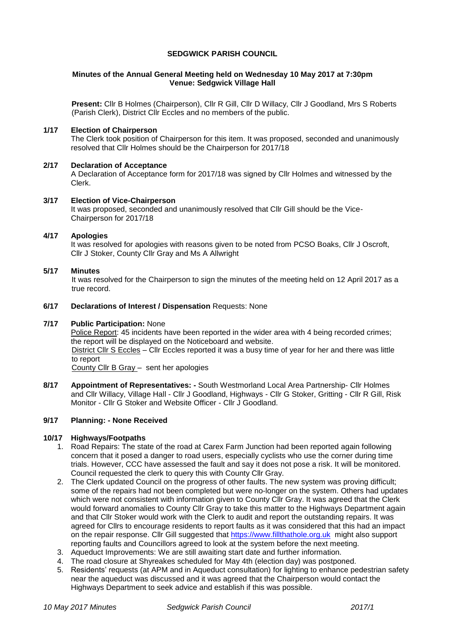## **SEDGWICK PARISH COUNCIL**

### **Minutes of the Annual General Meeting held on Wednesday 10 May 2017 at 7:30pm Venue: Sedgwick Village Hall**

**Present:** Cllr B Holmes (Chairperson), Cllr R Gill, Cllr D Willacy, Cllr J Goodland, Mrs S Roberts (Parish Clerk), District Cllr Eccles and no members of the public.

### **1/17 Election of Chairperson**

The Clerk took position of Chairperson for this item. It was proposed, seconded and unanimously resolved that Cllr Holmes should be the Chairperson for 2017/18

#### **2/17 Declaration of Acceptance**

A Declaration of Acceptance form for 2017/18 was signed by Cllr Holmes and witnessed by the Clerk.

### **3/17 Election of Vice-Chairperson**

It was proposed, seconded and unanimously resolved that Cllr Gill should be the Vice-Chairperson for 2017/18

### **4/17 Apologies**

It was resolved for apologies with reasons given to be noted from PCSO Boaks, Cllr J Oscroft, Cllr J Stoker, County Cllr Gray and Ms A Allwright

#### **5/17 Minutes**

It was resolved for the Chairperson to sign the minutes of the meeting held on 12 April 2017 as a true record.

### **6/17 Declarations of Interest / Dispensation** Requests: None

### **7/17 Public Participation:** None

Police Report: 45 incidents have been reported in the wider area with 4 being recorded crimes; the report will be displayed on the Noticeboard and website. District Cllr S Eccles – Cllr Eccles reported it was a busy time of year for her and there was little to report County Cllr B Gray – sent her apologies

**8/17 Appointment of Representatives: -** South Westmorland Local Area Partnership- Cllr Holmes and Cllr Willacy, Village Hall - Cllr J Goodland, Highways - Cllr G Stoker, Gritting - Cllr R Gill, Risk Monitor - Cllr G Stoker and Website Officer - Cllr J Goodland.

#### **9/17 Planning: - None Received**

#### **10/17 Highways/Footpaths**

- 1. Road Repairs: The state of the road at Carex Farm Junction had been reported again following concern that it posed a danger to road users, especially cyclists who use the corner during time trials. However, CCC have assessed the fault and say it does not pose a risk. It will be monitored. Council requested the clerk to query this with County Cllr Gray.
- 2. The Clerk updated Council on the progress of other faults. The new system was proving difficult; some of the repairs had not been completed but were no-longer on the system. Others had updates which were not consistent with information given to County Cllr Gray. It was agreed that the Clerk would forward anomalies to County Cllr Gray to take this matter to the Highways Department again and that Cllr Stoker would work with the Clerk to audit and report the outstanding repairs. It was agreed for Cllrs to encourage residents to report faults as it was considered that this had an impact on the repair response. Cllr Gill suggested that [https://www.fillthathole.org.uk](https://www.fillthathole.org.uk/) might also support reporting faults and Councillors agreed to look at the system before the next meeting.
- 3. Aqueduct Improvements: We are still awaiting start date and further information.
- 4. The road closure at Shyreakes scheduled for May 4th (election day) was postponed.
- 5. Residents' requests (at APM and in Aqueduct consultation) for lighting to enhance pedestrian safety near the aqueduct was discussed and it was agreed that the Chairperson would contact the Highways Department to seek advice and establish if this was possible.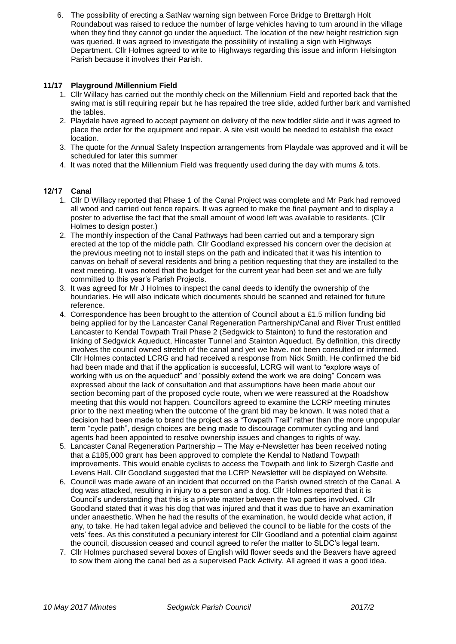6. The possibility of erecting a SatNav warning sign between Force Bridge to Brettargh Holt Roundabout was raised to reduce the number of large vehicles having to turn around in the village when they find they cannot go under the aqueduct. The location of the new height restriction sign was queried. It was agreed to investigate the possibility of installing a sign with Highways Department. Cllr Holmes agreed to write to Highways regarding this issue and inform Helsington Parish because it involves their Parish.

## **11/17 Playground /Millennium Field**

- 1. Cllr Willacy has carried out the monthly check on the Millennium Field and reported back that the swing mat is still requiring repair but he has repaired the tree slide, added further bark and varnished the tables.
- 2. Playdale have agreed to accept payment on delivery of the new toddler slide and it was agreed to place the order for the equipment and repair. A site visit would be needed to establish the exact location.
- 3. The quote for the Annual Safety Inspection arrangements from Playdale was approved and it will be scheduled for later this summer
- 4. It was noted that the Millennium Field was frequently used during the day with mums & tots.

# **12/17 Canal**

- 1. Cllr D Willacy reported that Phase 1 of the Canal Project was complete and Mr Park had removed all wood and carried out fence repairs. It was agreed to make the final payment and to display a poster to advertise the fact that the small amount of wood left was available to residents. (Cllr Holmes to design poster.)
- 2. The monthly inspection of the Canal Pathways had been carried out and a temporary sign erected at the top of the middle path. Cllr Goodland expressed his concern over the decision at the previous meeting not to install steps on the path and indicated that it was his intention to canvas on behalf of several residents and bring a petition requesting that they are installed to the next meeting. It was noted that the budget for the current year had been set and we are fully committed to this year's Parish Projects.
- 3. It was agreed for Mr J Holmes to inspect the canal deeds to identify the ownership of the boundaries. He will also indicate which documents should be scanned and retained for future reference.
- 4. Correspondence has been brought to the attention of Council about a £1.5 million funding bid being applied for by the Lancaster Canal Regeneration Partnership/Canal and River Trust entitled Lancaster to Kendal Towpath Trail Phase 2 (Sedgwick to Stainton) to fund the restoration and linking of Sedgwick Aqueduct, Hincaster Tunnel and Stainton Aqueduct. By definition, this directly involves the council owned stretch of the canal and yet we have. not been consulted or informed. Cllr Holmes contacted LCRG and had received a response from Nick Smith. He confirmed the bid had been made and that if the application is successful, LCRG will want to "explore ways of working with us on the aqueduct" and "possibly extend the work we are doing" Concern was expressed about the lack of consultation and that assumptions have been made about our section becoming part of the proposed cycle route, when we were reassured at the Roadshow meeting that this would not happen. Councillors agreed to examine the LCRP meeting minutes prior to the next meeting when the outcome of the grant bid may be known. It was noted that a decision had been made to brand the project as a "Towpath Trail" rather than the more unpopular term "cycle path", design choices are being made to discourage commuter cycling and land agents had been appointed to resolve ownership issues and changes to rights of way.
- 5. Lancaster Canal Regeneration Partnership The May e-Newsletter has been received noting that a £185,000 grant has been approved to complete the Kendal to Natland Towpath improvements. This would enable cyclists to access the Towpath and link to Sizergh Castle and Levens Hall. Cllr Goodland suggested that the LCRP Newsletter will be displayed on Website.
- 6. Council was made aware of an incident that occurred on the Parish owned stretch of the Canal. A dog was attacked, resulting in injury to a person and a dog. Cllr Holmes reported that it is Council's understanding that this is a private matter between the two parties involved. Cllr Goodland stated that it was his dog that was injured and that it was due to have an examination under anaesthetic. When he had the results of the examination, he would decide what action, if any, to take. He had taken legal advice and believed the council to be liable for the costs of the vets' fees. As this constituted a pecuniary interest for Cllr Goodland and a potential claim against the council, discussion ceased and council agreed to refer the matter to SLDC's legal team.
- 7. Cllr Holmes purchased several boxes of English wild flower seeds and the Beavers have agreed to sow them along the canal bed as a supervised Pack Activity. All agreed it was a good idea.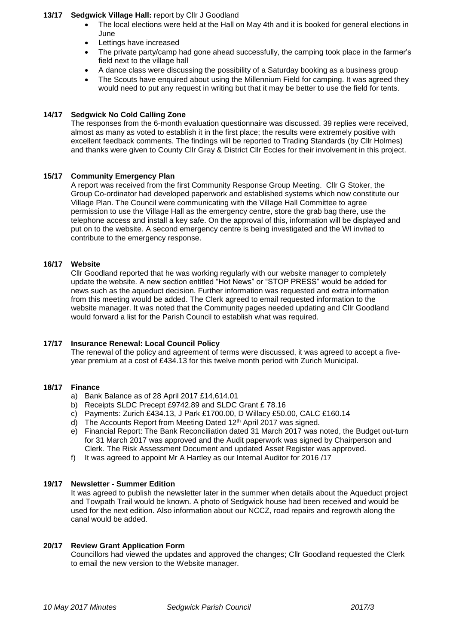### **13/17 Sedgwick Village Hall:** report by Cllr J Goodland

- The local elections were held at the Hall on May 4th and it is booked for general elections in June
- Lettings have increased
- The private party/camp had gone ahead successfully, the camping took place in the farmer's field next to the village hall
- A dance class were discussing the possibility of a Saturday booking as a business group
- The Scouts have enquired about using the Millennium Field for camping. It was agreed they would need to put any request in writing but that it may be better to use the field for tents.

### **14/17 Sedgwick No Cold Calling Zone**

The responses from the 6-month evaluation questionnaire was discussed. 39 replies were received, almost as many as voted to establish it in the first place; the results were extremely positive with excellent feedback comments. The findings will be reported to Trading Standards (by Cllr Holmes) and thanks were given to County Cllr Gray & District Cllr Eccles for their involvement in this project.

## **15/17 Community Emergency Plan**

A report was received from the first Community Response Group Meeting. Cllr G Stoker, the Group Co-ordinator had developed paperwork and established systems which now constitute our Village Plan. The Council were communicating with the Village Hall Committee to agree permission to use the Village Hall as the emergency centre, store the grab bag there, use the telephone access and install a key safe. On the approval of this, information will be displayed and put on to the website. A second emergency centre is being investigated and the WI invited to contribute to the emergency response.

### **16/17 Website**

Cllr Goodland reported that he was working regularly with our website manager to completely update the website. A new section entitled "Hot News" or "STOP PRESS" would be added for news such as the aqueduct decision. Further information was requested and extra information from this meeting would be added. The Clerk agreed to email requested information to the website manager. It was noted that the Community pages needed updating and Cllr Goodland would forward a list for the Parish Council to establish what was required.

#### **17/17 Insurance Renewal: Local Council Policy**

The renewal of the policy and agreement of terms were discussed, it was agreed to accept a fiveyear premium at a cost of £434.13 for this twelve month period with Zurich Municipal.

#### **18/17 Finance**

- a) Bank Balance as of 28 April 2017 £14,614.01
- b) Receipts SLDC Precept £9742.89 and SLDC Grant £ 78.16
- c) Payments: Zurich £434.13, J Park £1700.00, D Willacy £50.00, CALC £160.14
- d) The Accounts Report from Meeting Dated 12<sup>th</sup> April 2017 was signed.
- e) Financial Report: The Bank Reconciliation dated 31 March 2017 was noted, the Budget out-turn for 31 March 2017 was approved and the Audit paperwork was signed by Chairperson and Clerk. The Risk Assessment Document and updated Asset Register was approved.
- f) It was agreed to appoint Mr A Hartley as our Internal Auditor for 2016 /17

#### **19/17 Newsletter - Summer Edition**

It was agreed to publish the newsletter later in the summer when details about the Aqueduct project and Towpath Trail would be known. A photo of Sedgwick house had been received and would be used for the next edition. Also information about our NCCZ, road repairs and regrowth along the canal would be added.

#### **20/17 Review Grant Application Form**

Councillors had viewed the updates and approved the changes; Cllr Goodland requested the Clerk to email the new version to the Website manager.